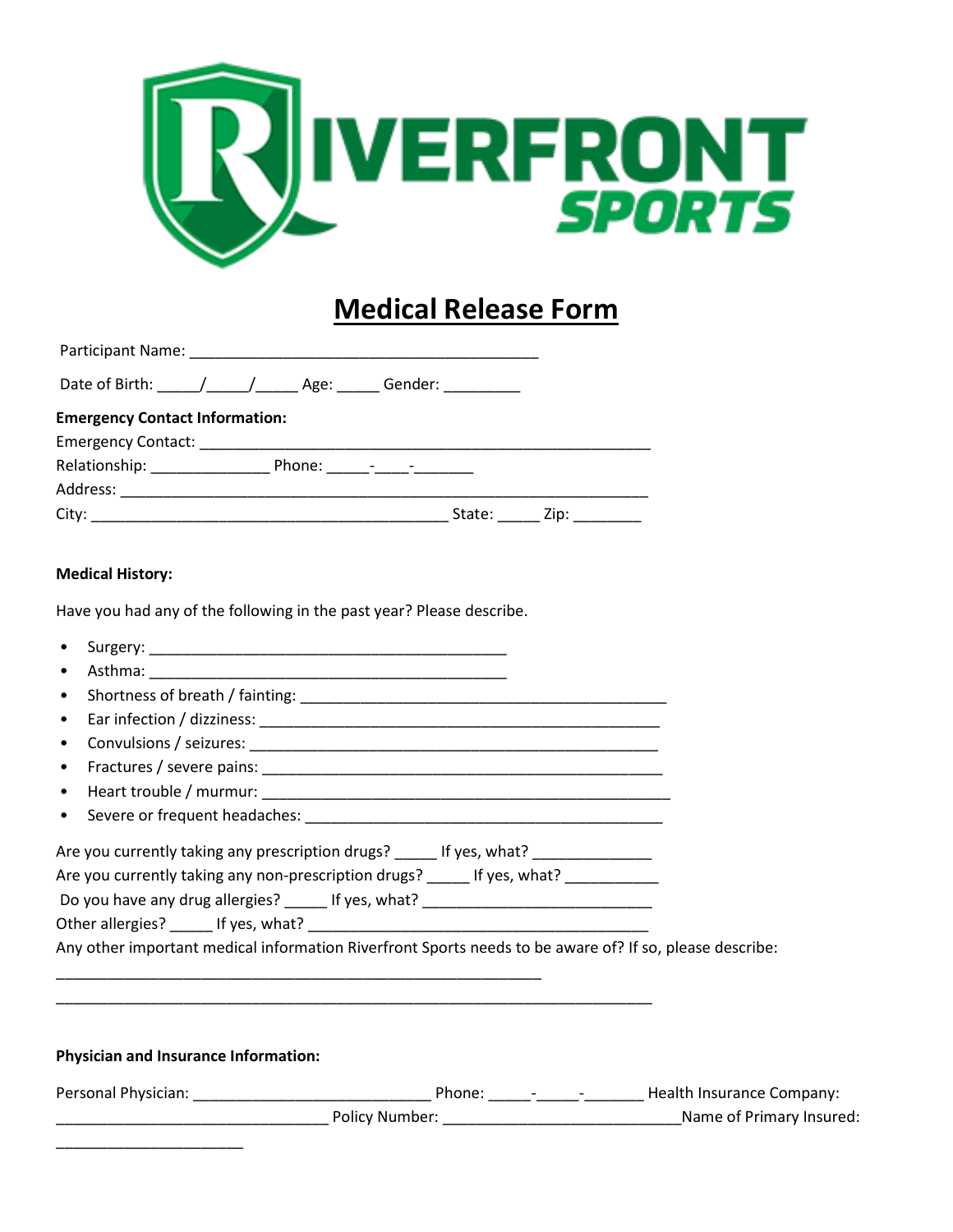

## **Medical Release Form**

| Date of Birth: \_____/ _____/ _______ Age: ______ Gender: __________ |  |        |  |
|----------------------------------------------------------------------|--|--------|--|
| <b>Emergency Contact Information:</b>                                |  |        |  |
|                                                                      |  |        |  |
|                                                                      |  |        |  |
|                                                                      |  |        |  |
|                                                                      |  | State: |  |

## **Medical History:**

Have you had any of the following in the past year? Please describe.

| $\bullet$                                                                                                                                                                                                                                                                                                                                                             |  |
|-----------------------------------------------------------------------------------------------------------------------------------------------------------------------------------------------------------------------------------------------------------------------------------------------------------------------------------------------------------------------|--|
| $\bullet$                                                                                                                                                                                                                                                                                                                                                             |  |
| $\bullet$                                                                                                                                                                                                                                                                                                                                                             |  |
|                                                                                                                                                                                                                                                                                                                                                                       |  |
| $\bullet$                                                                                                                                                                                                                                                                                                                                                             |  |
|                                                                                                                                                                                                                                                                                                                                                                       |  |
|                                                                                                                                                                                                                                                                                                                                                                       |  |
| Are you currently taking any prescription drugs? ______ If yes, what? ___________<br>Are you currently taking any non-prescription drugs? _____ If yes, what? ________<br>Do you have any drug allergies? ______ If yes, what? ___________________________<br>Any other important medical information Riverfront Sports needs to be aware of? If so, please describe: |  |
| Physician and Insurance Information:                                                                                                                                                                                                                                                                                                                                  |  |
|                                                                                                                                                                                                                                                                                                                                                                       |  |